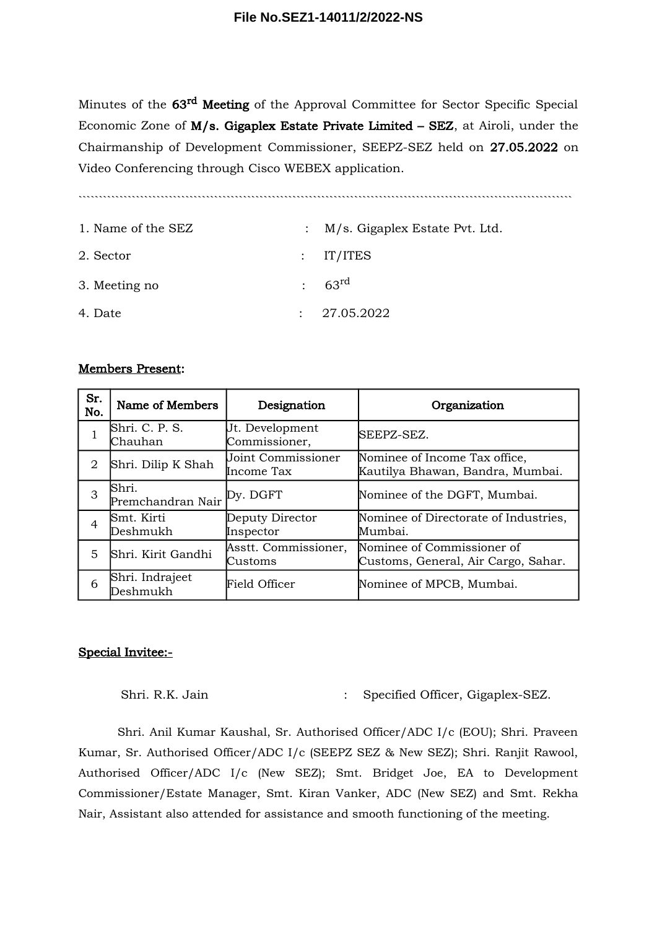Minutes of the 63<sup>rd</sup> Meeting of the Approval Committee for Sector Specific Special Economic Zone of M/s. Gigaplex Estate Private Limited – SEZ, at Airoli, under the Chairmanship of Development Commissioner, SEEPZ-SEZ held on 27.05.2022 on Video Conferencing through Cisco WEBEX application.

````````````````````````````````````````````````````````````````````````````````````````````````````````````````````````

| 1. Name of the SEZ | : M/s. Gigaplex Estate Pvt. Ltd. |
|--------------------|----------------------------------|
| 2. Sector          | $:$ IT/ITES                      |
| 3. Meeting no      | $: 63^{\text{rd}}$               |
| 4. Date            | : 27.05.2022                     |

## Members Present:

| Sr.<br>No. | Name of Members                     | Designation                      | Organization                                                      |
|------------|-------------------------------------|----------------------------------|-------------------------------------------------------------------|
|            | Shri. C. P. S.<br>Chauhan           | Jt. Development<br>Commissioner, | SEEPZ-SEZ.                                                        |
| 2          | Shri. Dilip K Shah                  | Joint Commissioner<br>Income Tax | Nominee of Income Tax office,<br>Kautilya Bhawan, Bandra, Mumbai. |
| 3          | Shri.<br>Premchandran Nair Py. DGFT |                                  | Nominee of the DGFT, Mumbai.                                      |
| 4          | Smt. Kirti<br>Deshmukh              | Deputy Director<br>Inspector     | Nominee of Directorate of Industries,<br>Mumbai.                  |
| 5          | Shri. Kirit Gandhi                  | Asstt. Commissioner,<br>Customs  | Nominee of Commissioner of<br>Customs, General, Air Cargo, Sahar. |
| 6          | Shri. Indrajeet<br>Deshmukh         | Field Officer                    | Nominee of MPCB, Mumbai.                                          |

### Special Invitee:-

Shri. R.K. Jain : Specified Officer, Gigaplex-SEZ.

Shri. Anil Kumar Kaushal, Sr. Authorised Officer/ADC I/c (EOU); Shri. Praveen Kumar, Sr. Authorised Officer/ADC I/c (SEEPZ SEZ & New SEZ); Shri. Ranjit Rawool, Authorised Officer/ADC I/c (New SEZ); Smt. Bridget Joe, EA to Development Commissioner/Estate Manager, Smt. Kiran Vanker, ADC (New SEZ) and Smt. Rekha Nair, Assistant also attended for assistance and smooth functioning of the meeting.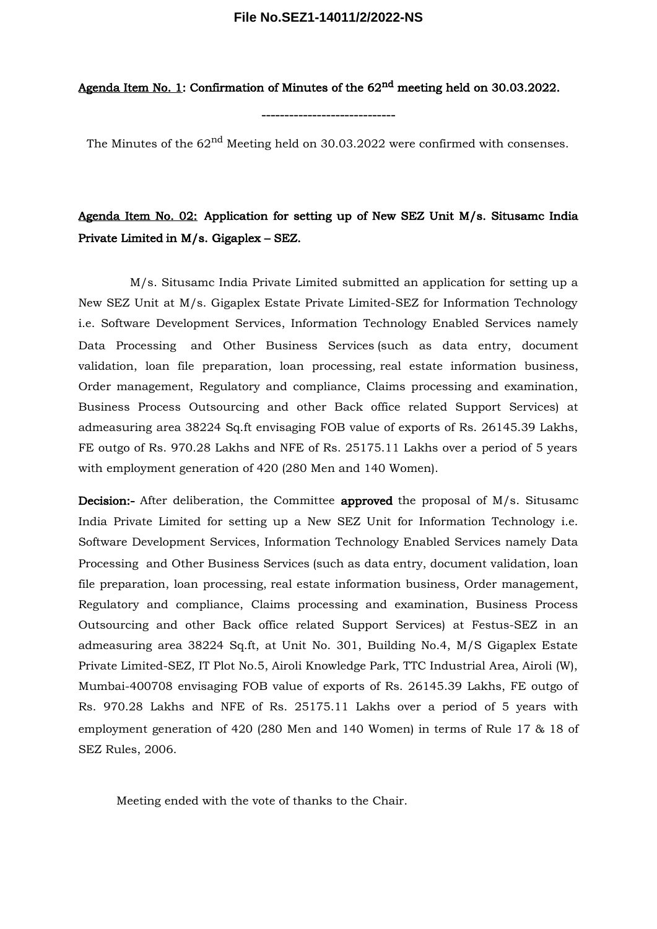#### **File No.SEZ1-14011/2/2022-NS**

Agenda Item No. 1: Confirmation of Minutes of the 62<sup>nd</sup> meeting held on 30.03.2022.

The Minutes of the 62<sup>nd</sup> Meeting held on 30.03.2022 were confirmed with consenses.

-----------------------------

# Agenda Item No. 02: Application for setting up of New SEZ Unit M/s. Situsamc India Private Limited in M/s. Gigaplex – SEZ.

M/s. Situsamc India Private Limited submitted an application for setting up a New SEZ Unit at M/s. Gigaplex Estate Private Limited-SEZ for Information Technology i.e. Software Development Services, Information Technology Enabled Services namely Data Processing and Other Business Services (such as data entry, document validation, loan file preparation, loan processing, real estate information business, Order management, Regulatory and compliance, Claims processing and examination, Business Process Outsourcing and other Back office related Support Services) at admeasuring area 38224 Sq.ft envisaging FOB value of exports of Rs. 26145.39 Lakhs, FE outgo of Rs. 970.28 Lakhs and NFE of Rs. 25175.11 Lakhs over a period of 5 years with employment generation of 420 (280 Men and 140 Women).

Decision:- After deliberation, the Committee approved the proposal of M/s. Situsamc India Private Limited for setting up a New SEZ Unit for Information Technology i.e. Software Development Services, Information Technology Enabled Services namely Data Processing and Other Business Services (such as data entry, document validation, loan file preparation, loan processing, real estate information business, Order management, Regulatory and compliance, Claims processing and examination, Business Process Outsourcing and other Back office related Support Services) at Festus-SEZ in an admeasuring area 38224 Sq.ft, at Unit No. 301, Building No.4, M/S Gigaplex Estate Private Limited-SEZ, IT Plot No.5, Airoli Knowledge Park, TTC Industrial Area, Airoli (W), Mumbai-400708 envisaging FOB value of exports of Rs. 26145.39 Lakhs, FE outgo of Rs. 970.28 Lakhs and NFE of Rs. 25175.11 Lakhs over a period of 5 years with employment generation of 420 (280 Men and 140 Women) in terms of Rule 17 & 18 of SEZ Rules, 2006.

Meeting ended with the vote of thanks to the Chair.